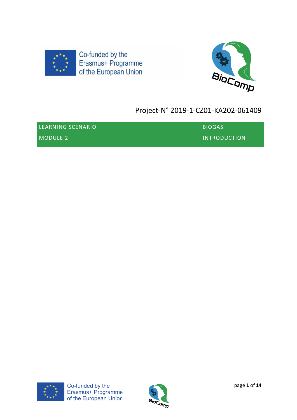



# Project-N° 2019-1-CZ01-KA202-061409

| LEARNING SCENARIO | <b>BIOGAS</b> |
|-------------------|---------------|
| MODULE 2          | INTRODUCTION  |



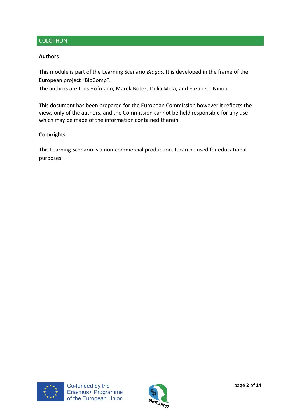# **COLOPHON**

#### **Authors**

This module is part of the Learning Scenario *Biogas*. It is developed in the frame of the European project "BioComp".

The authors are Jens Hofmann, Marek Botek, Delia Mela, and Elizabeth Ninou.

This document has been prepared for the European Commission however it reflects the views only of the authors, and the Commission cannot be held responsible for any use which may be made of the information contained therein.

#### **Copyrights**

This Learning Scenario is a non-commercial production. It can be used for educational purposes.



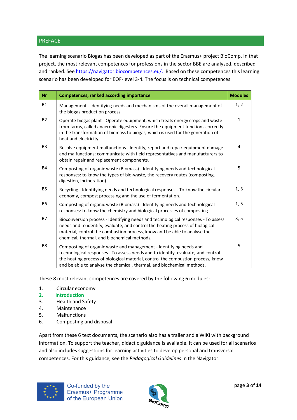# PREFACE

The learning scenario Biogas has been developed as part of the Erasmus+ project BioComp. In that project, the most relevant competences for professions in the sector BBE are analysed, described and ranked. See [https://navigator.biocompetences.eu/.](https://navigator.biocompetences.eu/) Based on these competences this learning scenario has been developed for EQF-level 3-4. The focus is on technical competences.

| <b>Nr</b>      | <b>Competences, ranked according importance</b>                                                                                                                                                                                                                                                                      | <b>Modules</b> |
|----------------|----------------------------------------------------------------------------------------------------------------------------------------------------------------------------------------------------------------------------------------------------------------------------------------------------------------------|----------------|
| <b>B1</b>      | Management - Identifying needs and mechanisms of the overall management of<br>the biogas production process.                                                                                                                                                                                                         | 1, 2           |
| <b>B2</b>      | Operate biogas plant - Operate equipment, which treats energy crops and waste<br>from farms, called anaerobic digesters. Ensure the equipment functions correctly<br>in the transformation of biomass to biogas, which is used for the generation of<br>heat and electricity.                                        | $\mathbf{1}$   |
| B <sub>3</sub> | Resolve equipment malfunctions - Identify, report and repair equipment damage<br>and malfunctions; communicate with field representatives and manufacturers to<br>obtain repair and replacement components.                                                                                                          | 4              |
| <b>B4</b>      | Composting of organic waste (Biomass) - Identifying needs and technological<br>responses: to know the types of bio-waste, the recovery routes (composting,<br>digestion, incineration).                                                                                                                              | 5              |
| <b>B5</b>      | Recycling - Identifying needs and technological responses - To know the circular<br>economy, compost processing and the use of fermentation.                                                                                                                                                                         | 1, 3           |
| <b>B6</b>      | Composting of organic waste (Biomass) - Identifying needs and technological<br>responses: to know the chemistry and biological processes of composting.                                                                                                                                                              | 1, 5           |
| <b>B7</b>      | Bioconversion process - Identifying needs and technological responses - To assess<br>needs and to identify, evaluate, and control the heating process of biological<br>material, control the combustion process, know and be able to analyse the<br>chemical, thermal, and biochemical methods.                      | 3, 5           |
| B <sub>8</sub> | Composting of organic waste and management - Identifying needs and<br>technological responses - To assess needs and to identify, evaluate, and control<br>the heating process of biological material, control the combustion process, know<br>and be able to analyse the chemical, thermal, and biochemical methods. | 5              |

These 8 most relevant competences are covered by the following 6 modules:

- 1. Circular economy
- **2. Introduction**
- 3. Health and Safety
- 4. Maintenance
- 5. Malfunctions
- 6. Composting and disposal

Apart from these 6 text documents, the scenario also has a trailer and a WIKI with background information. To support the teacher, didactic guidance is available. It can be used for all scenarios and also includes suggestions for learning activities to develop personal and transversal competences. For this guidance, see the *Pedagogical Guidelines* in the Navigator.



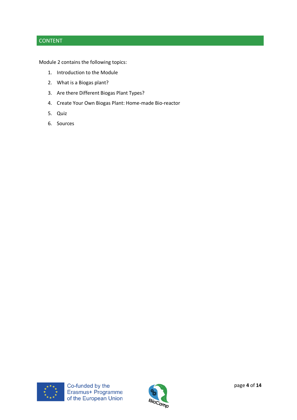# CONTENT

Module 2 contains the following topics:

- 1. Introduction to the Module
- 2. What is a Biogas plant?
- 3. Are there Different Biogas Plant Types?
- 4. Create Your Own Biogas Plant: Home-made Bio-reactor
- 5. Quiz
- 6. Sources



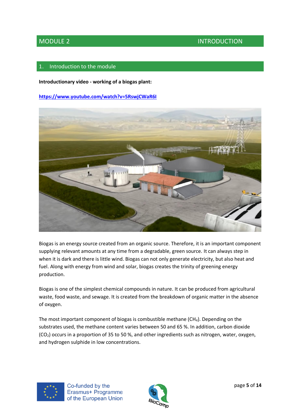MODULE 2 INTRODUCTION

### Introduction to the module

**Introductionary video - working of a biogas plant:**

**<https://www.youtube.com/watch?v=5RswjCWaR6I>**



Biogas is an energy source created from an organic source. Therefore, it is an important component supplying relevant amounts at any time from a degradable, green source. It can always step in when it is dark and there is little wind. Biogas can not only generate electricity, but also heat and fuel. Along with energy from wind and solar, biogas creates the trinity of greening energy production.

Biogas is one of the simplest chemical compounds in nature. It can be produced from agricultural waste, food waste, and sewage. It is created from the breakdown of organic matter in the absence of oxygen.

The most important component of biogas is combustible methane (CH4). Depending on the substrates used, the methane content varies between 50 and 65 %. In addition, carbon dioxide  $(CO<sub>2</sub>)$  occurs in a proportion of 35 to 50 %, and other ingredients such as nitrogen, water, oxygen, and hydrogen sulphide in low concentrations.



Co-funded by the Erasmus+ Programme of the European Union

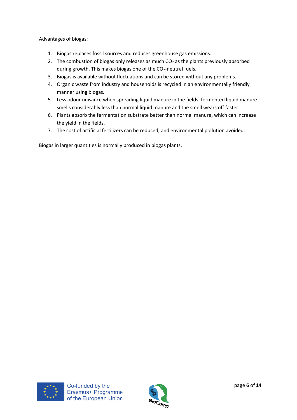Advantages of biogas:

- 1. Biogas replaces fossil sources and reduces greenhouse gas emissions.
- 2. The combustion of biogas only releases as much  $CO<sub>2</sub>$  as the plants previously absorbed during growth. This makes biogas one of the  $CO<sub>2</sub>$ -neutral fuels.
- 3. Biogas is available without fluctuations and can be stored without any problems.
- 4. Organic waste from industry and households is recycled in an environmentally friendly manner using biogas.
- 5. Less odour nuisance when spreading liquid manure in the fields: fermented liquid manure smells considerably less than normal liquid manure and the smell wears off faster.
- 6. Plants absorb the fermentation substrate better than normal manure, which can increase the yield in the fields.
- 7. The cost of artificial fertilizers can be reduced, and environmental pollution avoided.

Biogas in larger quantities is normally produced in biogas plants.



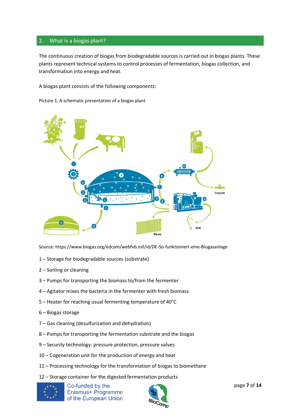### 2. What is a biogas plant?

The continuous creation of biogas from biodegradable sources is carried out in biogas plants. These plants represent technical systems to control processes of fermentation, biogas collection, and transformation into energy and heat.

A biogas plant consists of the following components:

Picture 1. A schematic presentation of a biogas plant



Source: https://www.biogas.org/edcom/webfvb.nsf/id/DE-So-funktioniert-eine-Biogasanlage

- 1 Storage for biodegradable sources (substrate)
- 2 Sorting or cleaning
- 3 Pumps for transporting the biomass to/from the fermenter
- 4 Agitator mixes the bacteria in the fermenter with fresh biomass
- 5 Heater for reaching usual fermenting temperature of 40°C
- 6 Biogas storage
- 7 Gas cleaning (desulfurization and dehydration)
- 8 Pumps for transporting the fermentation substrate and the biogas
- 9 Security technology: pressure protection, pressure valves
- 10 Cogeneration unit for the production of energy and heat
- 11 Processing technology for the transformation of biogas to biomethane
- 12 Storage container for the digested fermentation products



Co-funded by the Erasmus+ Programme of the European Union

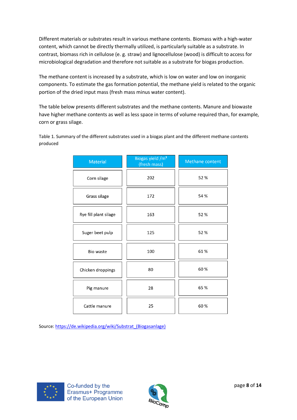Different materials or substrates result in various methane contents. Biomass with a high-water content, which cannot be directly thermally utilized, is particularly suitable as a substrate. In contrast, biomass rich in cellulose (e. g. straw) and lignocellulose (wood) is difficult to access for microbiological degradation and therefore not suitable as a substrate for biogas production.

The methane content is increased by a substrate, which is low on water and low on inorganic components. To estimate the gas formation potential, the methane yield is related to the organic portion of the dried input mass (fresh mass minus water content).

The table below presents different substrates and the methane contents. Manure and biowaste have higher methane contents as well as less space in terms of volume required than, for example, corn or grass silage.

Table 1. Summary of the different substrates used in a biogas plant and the different methane contents produced

| <b>Material</b>       | Biogas yield /m <sup>3</sup><br>(fresh mass) | Methane content |
|-----------------------|----------------------------------------------|-----------------|
| Corn silage           | 202                                          | 52%             |
| Grass silage          | 172                                          | 54 %            |
| Rye fill plant silage | 163                                          | 52 %            |
| Suger beet pulp       | 125                                          | 52 %            |
| Bio waste             | 100                                          | 61%             |
| Chicken droppings     | 80                                           | 60%             |
| Pig manure            | 28                                           | 65 %            |
| Cattle manure         | 25                                           | 60%             |

Source[: https://de.wikipedia.org/wiki/Substrat\\_\(Biogasanlage\)](https://de.wikipedia.org/wiki/Substrat_(Biogasanlage))



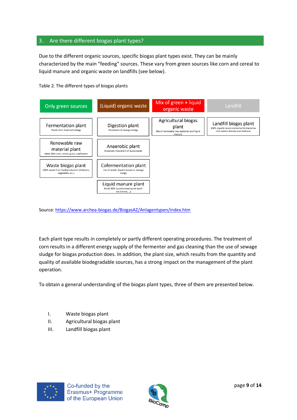# 3. Are there different biogas plant types?

Due to the different organic sources, specific biogas plant types exist. They can be mainly characterized by the main "feeding" sources. These vary from green sources like corn and cereal to liquid manure and organic waste on landfills (see below).





Source[: https://www.archea-biogas.de/BiogasAZ/Anlagentypen/index.htm](https://www.archea-biogas.de/BiogasAZ/Anlagentypen/index.htm)

Each plant type results in completely or partly different operating procedures. The treatment of corn results in a different energy supply of the fermenter and gas cleaning than the use of sewage sludge for biogas production does. In addition, the plant size, which results from the quantity and quality of available biodegradable sources, has a strong impact on the management of the plant operation.

To obtain a general understanding of the biogas plant types, three of them are presented below.

- I. Waste biogas plant
- II. Agricultural biogas plant
- III. Landfill biogas plant



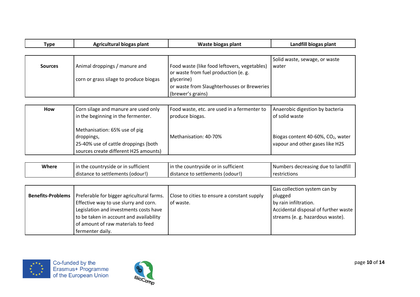| Type           | Agricultural biogas plant              | Waste biogas plant                           | Landfill biogas plant         |
|----------------|----------------------------------------|----------------------------------------------|-------------------------------|
|                |                                        |                                              |                               |
|                |                                        |                                              | Solid waste, sewage, or waste |
| <b>Sources</b> | Animal droppings / manure and          | Food waste (like food leftovers, vegetables) | water                         |
|                |                                        | or waste from fuel production (e. g.         |                               |
|                | corn or grass silage to produce biogas | glycerine)                                   |                               |
|                |                                        | or waste from Slaughterhouses or Breweries   |                               |
|                |                                        | (brewer's grains)                            |                               |

| How | Corn silage and manure are used only                                                                                         | Food waste, etc. are used in a fermenter to | Anaerobic digestion by bacteria                                                   |
|-----|------------------------------------------------------------------------------------------------------------------------------|---------------------------------------------|-----------------------------------------------------------------------------------|
|     | in the beginning in the fermenter.                                                                                           | produce biogas.                             | of solid waste                                                                    |
|     | Methanisation: 65% use of pig<br>droppings,<br>25-40% use of cattle droppings (both<br>sources create different H2S amounts) | Methanisation: 40-70%                       | Biogas content 40-60%, CO <sub>2</sub> , water<br>vapour and other gases like H2S |

| Where | In the countryside or in sufficient | In the countryside or in sufficient | Numbers decreasing due to landfill |
|-------|-------------------------------------|-------------------------------------|------------------------------------|
|       | distance to settlements (odour!)    | distance to settlements (odour!)    | <b>restrictions</b>                |

|                                                                      |                                             | Gas collection system can by         |
|----------------------------------------------------------------------|---------------------------------------------|--------------------------------------|
| <b>Benefits-Problems</b>   Preferable for bigger agricultural farms. | Close to cities to ensure a constant supply | plugged                              |
| Effective way to use slurry and corn.                                | of waste.                                   | by rain infiltration.                |
| Legislation and investments costs have                               |                                             | Accidental disposal of further waste |
| to be taken in account and availability                              |                                             | streams (e. g. hazardous waste).     |
| of amount of raw materials to feed                                   |                                             |                                      |
| fermenter daily.                                                     |                                             |                                      |



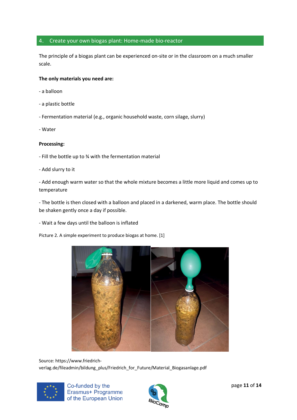### 4. Create your own biogas plant: Home-made bio-reactor

The principle of a biogas plant can be experienced on-site or in the classroom on a much smaller scale.

#### **The only materials you need are:**

- a balloon
- a plastic bottle
- Fermentation material (e.g., organic household waste, corn silage, slurry)
- Water

#### **Processing:**

- Fill the bottle up to ¾ with the fermentation material
- Add slurry to it

- Add enough warm water so that the whole mixture becomes a little more liquid and comes up to temperature

- The bottle is then closed with a balloon and placed in a darkened, warm place. The bottle should be shaken gently once a day if possible.

- Wait a few days until the balloon is inflated

Picture 2. A simple experiment to produce biogas at home. [1]



Source: https://www.friedrichverlag.de/fileadmin/bildung\_plus/Friedrich\_for\_Future/Material\_Biogasanlage.pdf



Co-funded by the Erasmus+ Programme of the European Union

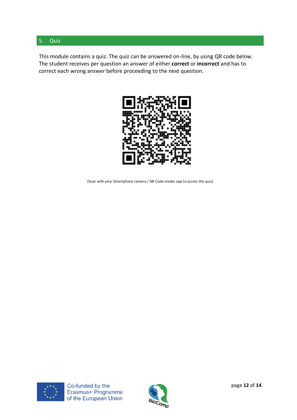## 5. Quiz

This module contains a quiz. The quiz can be answered on-line, by using QR code below. The student receives per question an answer of either **correct** or **incorrect** and has to correct each wrong answer before proceeding to the next question.



(Scan with your Smartphone camera / QR Code reader app to access the quiz)



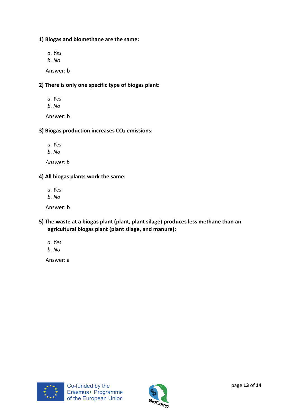# **1) Biogas and biomethane are the same:**

*a. Yes b. No* Answer: b

# **2) There is only one specific type of biogas plant:**

*a. Yes b. No* Answer: b

# **3) Biogas production increases CO<sup>2</sup> emissions:**

*a. Yes*

*b. No*

 *Answer: b*

### **4) All biogas plants work the same:**

*a. Yes b. No*

Answer: b

- **5) The waste at a biogas plant (plant, plant silage) produces less methane than an agricultural biogas plant (plant silage, and manure):**
	- *a. Yes b. No*

Answer: a